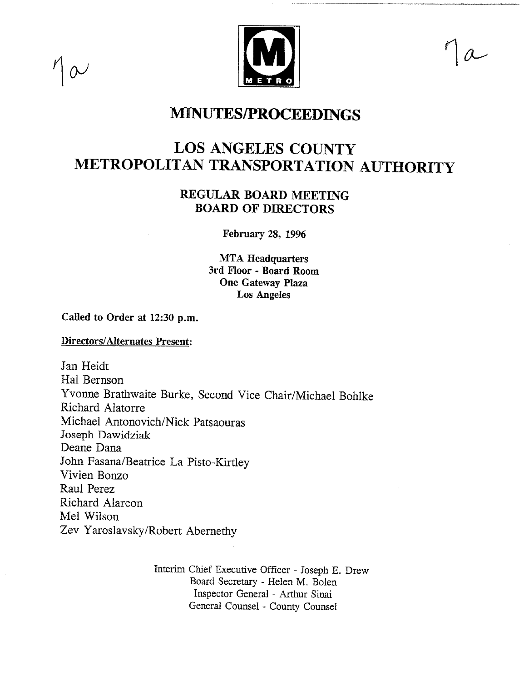



# **MINUTES/PROCEEDINGS**

# **LOS ANGELES COUNTY METROPOLITAN TRANSPORTATION AUTHORITY**

# REGULAR BOARD MEETING **BOARD OF DIRECTORS**

**February 28, 1996**

**MTA Headquarters 3rd Floor - Board Room One Gateway Plaza Los Angeles**

Called **to Order** at 12:30 p.m.

# **Directors/Alternates Present:**

Jan Heidt Hal Bernson Yvorme Brathwaite Burke, Second Vice Chair/Michael Bohlke Richard Alatorre Michael Antonovich/Nick Patsaouras Joseph Dawidziak Deane Dana John Fasana/Beatrice La Pisto-Kirtley Vivien Bonzo Raul Perez Richard Alarcon Mel Wilson Zev Yaroslavsky/Robert Abernethy

> Interim Chief Executive Officer - Joseph E. Drew Board Secretary - Helen M. Bolen Inspector General - Arthur Sinai General Counsel - County Counsel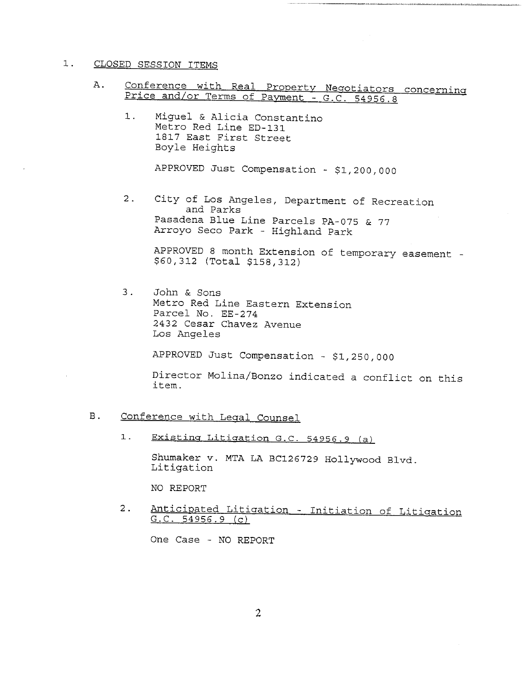#### $1.$ CLOSED SESSION ITEMS

- A. Conference with Real Property Negotiators concerning Price and/or Terms of Payment - G.C. 54956.8
	- Miguel & Alicia Constantino  $1.$ Metro Red Line ED-131 1817 East First Street Boyle Heights

APPROVED Just Compensation - \$1,200,000

 $2.$ City of Los Angeles, Department of Recreation and Parks Pasadena Blue Line Parcels PA-075 & 77 Arroyo Seco Park - Highland Park

APPROVED 8 month Extension of temporary easement - \$60,312 (Total \$158,312)

3. John & Sons Metro Red Line Eastern Extension Parcel No. EE-274 2432 Cesar Chavez Avenue Los Angeles

APPROVED Just Compensation - \$1,250,000

Director Molina/Bonzo indicated a conflict on this item.

#### **B**. Conference with Leqal Counsel

1. Existing Litigation G.C. 54956.9 (a)

Shumaker v. MTA LA BC126729 Hollywood Blvd. Litigation

NO REPORT

2. Anticipated Litigation – Initiation of Litigati  $G.C. 54956.9 (c)$ 

One Case - NO REPORT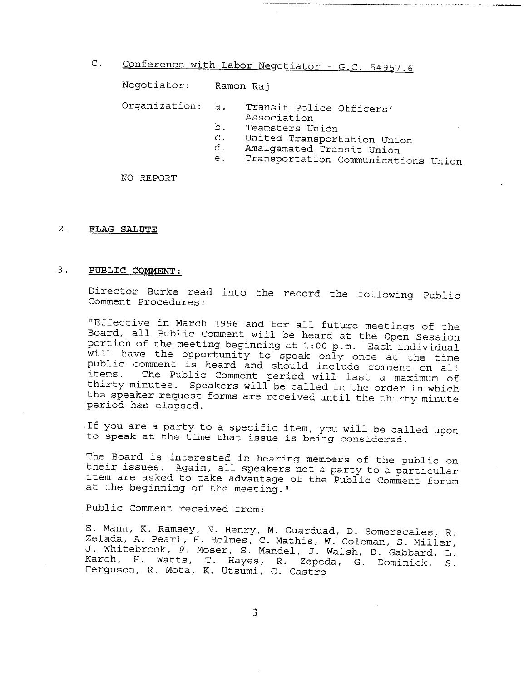C. Conference with Labor Negotiator - G.C. 54957.6

Negotiator: Ramon Raj

Organization: a. Transit Police Officers'

- Association
- $b<sub>1</sub>$ Teamsters Union
- $\circ$ . United Transportation Union
- d. Amalgamated Transit Union
- e. Transportation Communications Union.

NO REPORT

### 2. FLAG SALUTE

## 3. PUBLIC COMMENT:

Director Burke read into the record the following Public Comment Procedures:

"Effective in March 1996 and for all future meetings of the Board, all Public Comment will be heard at the Open Session portion of the meeting beginning at I:00 p.m. Each individual will have the opportunity to speak only once at the time public comment is heard and should include comment on all items. The Public Comment period will last a maximum of thirty minutes. Speakers will be called in the order in which the speaker request forms are received until the thirty minute period has elapsed.

If you are a party to a specific item, you will be called upon to speak at the time that issue is being considered.

The Board is interested in hearing members of the public on their issues. Again, all speakers not a party to a particular item are asked to take advantage of the Public Comment forum at the beginning of the meeting."

Public Comment received from:

E. Mann, K. Ramsey, N. Henry, M. Guarduad, D. Somerscales, R. Zelada, A. Pearl, H. Holmes, C. Mathis, W. Coleman, S. Miller, J. Whitebrook, P. Moser, S. Mandel, J. Walsh, D. Gabbard, L. Karch, H. Watts, T. Hayes, R. Zepeda, G. Dominick, S. Ferguson, R. Mota, K. Utsumi, G. Castro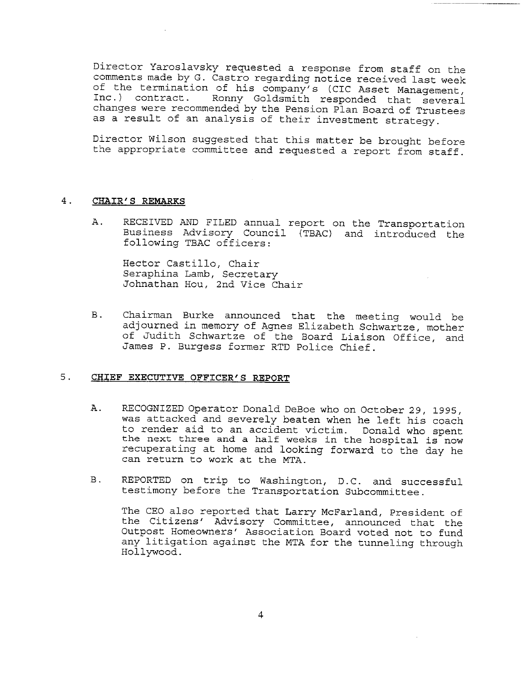Director Yaroslavsky requested a response from staff on the comments made by G. Castro regarding notice received last week of the termination of his company's (CIC Asset Management, Inc.) contract. Ronny Goldsmith responded that several changes were recommended by the Pension Plan Board of Trustees as a result of an analysis of their investment strategy.

Director Wilson suggested that this matter be brought before the appropriate committee and requested a report from staff.

#### $4.$ CHAIR'S REMARKS

A. RECEIVED AND FILED annual report on the Transportation Business Advisory Council (TBAC) and introduced the following TBAC officers:

Hector Castillo, Chair Seraphina Lamb, Secretary Johnathan Hou, 2nd Vice Chair

B. Chairman Burke announced that the meeting would be adjourned in memory of Agnes Elizabeth Schwartze, mother of Judith Schwartze of the Board Liaison Office, and James P. Burgess former RTD Police Chief.

### 5. CHIEF EXECUTIVE OFFICER'S REPORT

- $A$ . RECOGNIZED Operator Donald DeBoe who on October 29, 1995, was attacked and severely beaten when he left his coach to render aid to an accident victim. Donald who spent the next three and a half weeks in the hospital is now recuperating at home and looking forward to the day he can return to work at the MTA.
- $B<sub>1</sub>$ REPORTED on trip to Washington, D.C. and successful testimony before the Transportation Subcommittee.

The CEO also reported that Larry McFarland, President of the Citizens' Advisory Committee, announced that the Outpost Homeowners' Association Board voted not to fund any litigation against the MTA for the tunneling through Hollywood.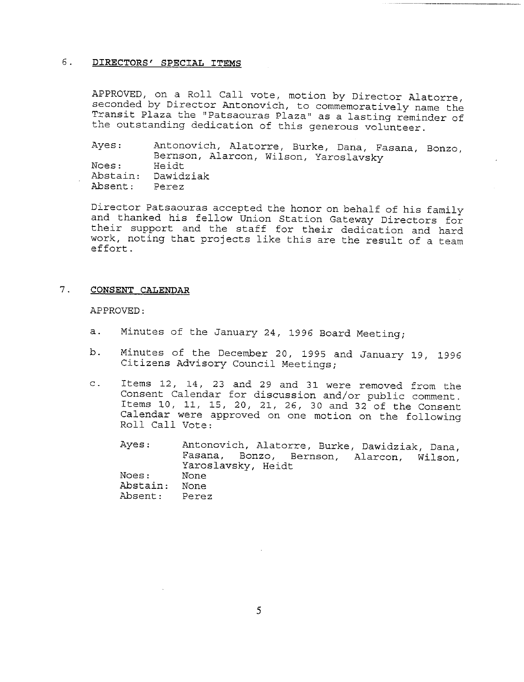## **6. DIRECTORS" SPECIAL ITEMS**

APPROVED, on a Roll Call vote, motion by Director Alatorre, seconded by Director Antonovich, to commemoratively name the Transit Plaza the "Patsaouras Plaza" as a lasting reminder of the outstanding dedication of this generous volunteer.

Ayes: Noes: Abstain: Dawidzia Absent: Antonovich, Alatorre, Burke, Dana, Fasana, Bonzo, Bernson, Alarcon, Wilson, Yaroslavsky Heidt Perez

Director Patsaouras accepted the honor on behalf of his family and thanked his fellow Union Station Gateway Directors for their support and the staff for their dedication and hard work, noting that projects like this are the result of a team effort.

#### 7. **CONSENT CALENDAR**

APPROVED:

- a. Minutes of the January 24, 1996 Board Meeting;
- Minutes of the December 20, 1995 and January 19, 1996 b. Citizens Advisory Council Meetings;
- $\mathbf{C}$ . Items 12, 14, 23 and 29 and 31 were removed from the Consent Calendar for discussion and/or public comment. Items I0, II, 15, 20, 21, 26, 30 and 32 of the Consent Calendar were approved on one motion on the following Roll Call Vote:

Ayes: Noes: Abstain: Absent: Antonovich, Alatorre, Burke, Dawidziak, Dana, Fasana, Bonzo, Bernson, Alarcon, Wilson, Yaroslavsky, Heidt None None Perez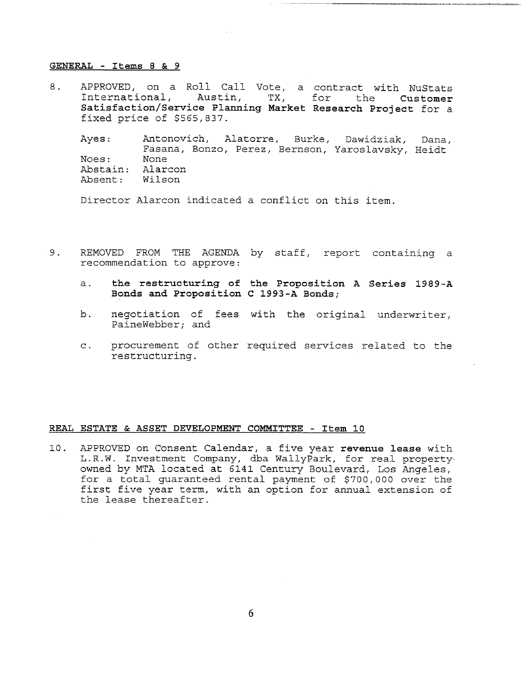#### **GENERAL - Items 8 & 9**

APPROVED, on a Roll Call Vote, a contract with NuStats  $8.$ International, Austin, TX, for the **Customer Satisfaction/Service Planning Market Research Project for a** fixed price of \$565,837.

Ayes: Noes: Abstain: Alarco Absent: Wilso Antonovich, Alatorre, Burke, Dawidziak, Dana, Fasana, Bonzo, Perez, Bernson, Yaroslavsky, Heidt None

Director Alarcon indicated a conflict on this item.

- 9. REMOVED FROM THE AGENDA by staff, report containing a recommendation to approve:
	- $a.$ **the restructuring of the Proposition A Series 1989-A** Bonds **and Proposition** C 1993-A Bonds;
	- b. negotiation of fees with the original underwriter, PaineWebber; and
	- c. procurement of other required services related to the restructuring.

#### **REAL ESTATE & ASSET DEVELOPMENT COMMITTEE - Item 10**

i0. APPROVED on Consent Calendar, a five year **revenue lease** with L.R.W. Investment Company, dba WallyPark, for real property. owned by MTA located at 6141 Century Boulevard, Los Angeles, for a total guaranteed rental payment of \$700,000 over the first five year term, with an option for annual extension of the lease thereafter.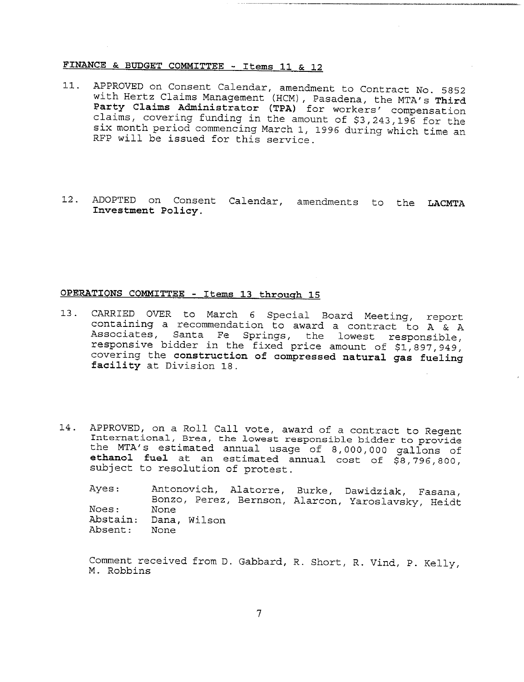## FINANCE & BUDGET COMMITTEE - Items 11 & 12

- ii. APPROVED on Consent Calendar, amendment to Contract No. 5852 with Hertz Claims Management (HCM), Pasadena, the MTA's Third **Party Claims Administrator** (TPA) for workers' compensation claims, covering funding in the amount of \$3,243,196 for the six month period commencing March i, 1996 during which time an RFP will be issued for this service.
- 12. ADOPTED on Consent Calendar, amendments to the LACMTA **Investment Policy.**

# OPERATIONS COMMITTEE - Items 13 through 15

- 13. CARRIED OVER to March 6 Special Board Meeting, report: containing a recommendation to award a contract to A & A Associates, Santa Fe Springs, the lowest responsi responsive bidder in the fixed price amount of \$1,897,949, covering the **construction of compressed natural gas fueling facility** at Division 18.
- 14. APPROVED, on a Roll Call vote, award of a contract to Regent International, Brea, the lowest responsible bidder to provide the MTA's estimated annual usage of 8,000,000 gallons of **ethanol fuel** at an estimated annual cost of \$8,796,800, subject to resolution of protest.

Ayes: Noes: Abstain: Dana, Wilso Absent: None Antonovich, Alatorre, Burke, Dawidziak, Fasana, Bonzo, Perez, Bernson, Alarcon, Yaroslavsky, Heidt None

Comment received from D. Gabbard, R. Short, R. Vind, P. Kelly, M. Robbins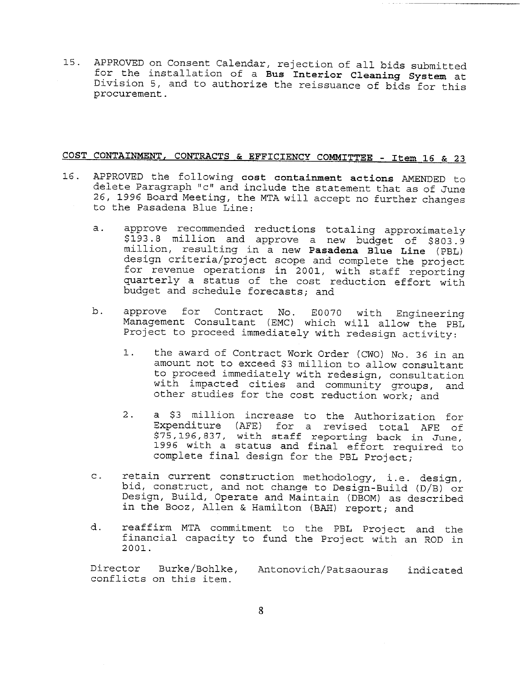15. APPROVED on Consent Calendar, rejection of all bids submitted for the installation of a Bus Interior Cleaning System at Division 5, and to authorize the reissuance of bids for this procurement.

# **COST CONTAINMENT, CONTRACTS & EFFICIENCY COMMITTEE - Item 16 & 23**

- 16. APPROVED the following cost **containment actions** AMENDED to delete Paragraph "c" and include the statement that as of June 26, 1996 Board Meeting, the MTA will accept no further changes to the Pasadena Blue Line:
	- approve recommended reductions totaling approximately a. \$193.8 million and approve a new budget of \$803.9 million, resulting in a new Pasadena Blue Line (PBL design criteria/project scope and complete the project for revenue operations in 2001, with staff reporting quarterly a status of the cost reduction effort with budget and schedule forecasts; and
	- b. approve for Contract No. E0070 with Engineering Management Consultant (EMC) which will allow the PBL Project to proceed immediately with redesign activity:
		- the award of Contract Work Order (CWO) No. 36 in  $1.$ amount not to exceed \$3 million to allow consultant to proceed immediately with redesign, consultation with impacted cities and community groups, and other studies for the cost reduction work; and
		- a \$3 million increase to the Authorization for  $2.$ Expenditure (AFE) for a revised total AFE \$75,196,837, with staff reporting back in June, 1996 with a status and final effort required to complete final design for the PBL Project;
	- $\overline{c}$ . retain current construction methodology, i.e. design, bid, construct, and not change to Design-Build  $(D/B)$  or Design, Build, Operate and Maintain (DBOM) as described in the Booz, Allen & Hamilton (BAH) report; and
	- d. reaffirm MTA commitment to the PBL Project and the financial capacity to fund the Project with an ROD in 2001.

Director Burke/Bohlke, conflicts on this item. Antonovich/Patsaouras indicated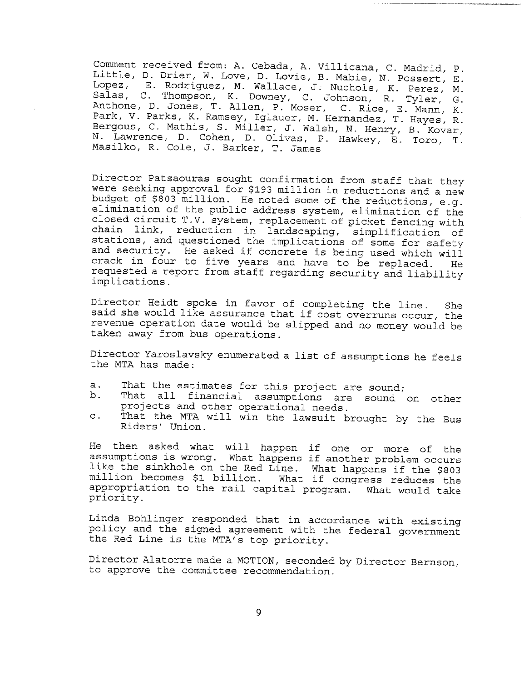Comment received from: A. Cebada, A. Villicana, C. Madrid, P. Little, D. Drier, W. Love, D. Lovie, B. Mabie, N. Possert, E. Lopez, E. Rodriguez, M. Wallace, J. Nuchols, K. Perez, M. Salas, C. Thompson, K. Downey, C. Johnson, R. Tyler, G. Anthone, D. Jones, T. Allen, P. Moser, C. Rice, E. Mann, K. Park, V. Parks, K. Ramsey, Iglauer, M. Hernandez, T. Hayes, R. Bergous, C. Mathis, S. Miller, J. Walsh, N. Henry, B. Kovar, N. Lawrence, D. Cohen, D. Olivas, P. Hawkey, E. Toro, T. Masilko, R. Cole, J. Barker, T. James

Director Patsaouras sought confirmation from staff that they were seeking approval for \$193 million in reductions and a new budget of \$803 million. He noted some of the reductions, e.g. elimination of the public address system, elimination of the closed circuit T.V. system, replacement of picket fencing with chain link, reduction in landscaping, simplification of stations, and questioned the implications of some for safety and security. He asked if concrete is being used which will crack in four to five years and have to be replaced. He requested a report from staff regarding security and liability implications.

Director Heidt spoke in favor of completing the line. She said she would like assurance that if cost overruns occur, the revenue operation date would be slipped and no money would be taken away from bus operations.

Director Yaroslavsky enumerated a list of assumptions he feels the MTA has made:

- a. That the estimates for this project are sound;
- $b$ . That all financial assumptions are sound on other projects and other operational needs.
- That the MTA will win the lawsuit brought by the Bus  $\mathbf{C}$ . Riders' Union.

He then asked what will happen if one or more of the assumptions is wrong. What happens if another problem occurs like the sinkhole on the Red Line. What happens if the \$803 million becomes \$I billion. What if congress reduces the appropriation to the rail capital program. What would take priority.

Linda Bohlinger responded that in accordance with existing policy and the signed agreement with the federal government the Red Line is the MTA's top priority.

Director Alatorre made a MOTION, seconded by Director Bernson, to approve the committee recommendation.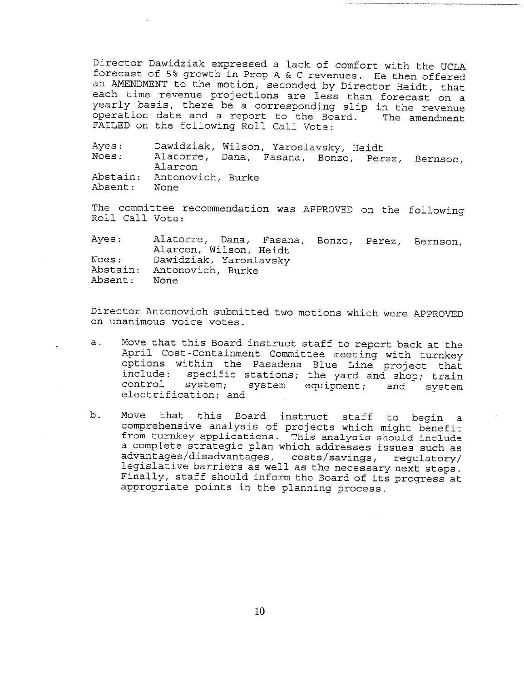Director Dawidziak expressed a lack of comfort with the UCLA forecast of 5% growth in Prop A & C revenues. He then offered an AMENDMENT to the motion, seconded by Director Heidt, that each time revenue projections are less than forecast on a yearly basis, there be a corresponding slip in the revenue operation date and a report to the Board. The amendment FAILED on the following Roll Call Vote:

Ayes: Noes: Abstain: .Absent: Dawidziak, Wilson, Yaroslavsky, Heidt Alatorre, Dana, Fasana, Bonzo, Perez, Bernson<br>11 Alarcon Antonovich, Burke None

The committee recommendation was APPROVED on the following Roll Call Vote:

Ayes: Alatorre, Dana, Fasana, Bonzo, Perez, Bernson, Alarcon, Wilson, Heidt Dawidziak, Yaroslavsky Antonovich, Burke None Noes: Abstain: Absent:

Director Antonovich submitted two motions which were APPROVED on unanimous voice votes.

- a. Move that this Board instruct staff to report back at the April Cost-Containment Committee meeting with turnkey options within the Pasadena Blue Line project that include: specific stations; the yard and shop; train control system; system equipment; and system electrification; and
- b. Move that this Board instruct staff to begin a comprehensive analysis of projects which might benefit from turnkey applications. This analysis should include a complete strategic plan which addresses issues such as advantages/disadvantages, costs/savings, regulatory/ legislative barriers as well as the necessary next steps. Finally, staff should inform the Board of its progress at appropriate points in the planning process.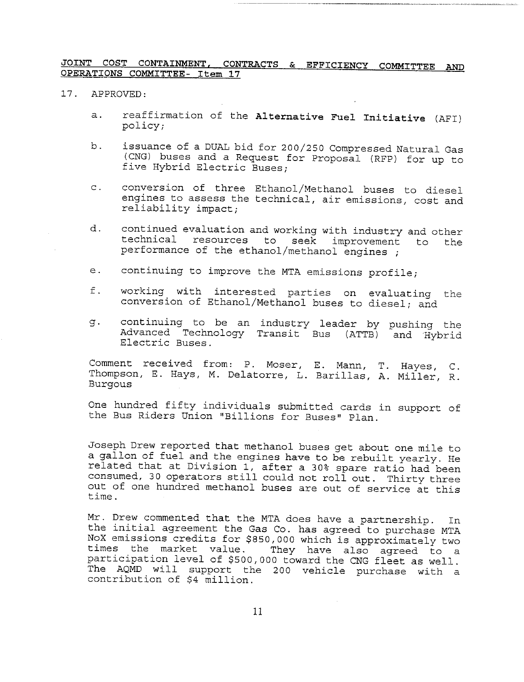**JOINT COST CONTAINMENT, CONTRACTS & EFFICIENCY COMMITTEE OPERATIONS COMMITTEE- Item 17**

- 17. APPROVED:
	- reaffirmation of the Alternative Fuel Initiative (AFI)  $\overline{a}$ . policy;
	- issuance of a DUAL bid for 200/250 Compressed Natural Gas  $b$ . (CNG) buses and a Request for Proposal (REP) for up five Hybrid Electric Buses;
	- conversion of three Ethanol/Methanol buses to diesel  $\mathsf{C}$ . engines to assess the technical, air emissions, cost and reliability impact;
	- d. continued evaluation and working with industry and other technical resources to seek improvement to the performance of the ethanol/methanol engines ;
	- e. continuing to improve the MTA emissions profile;
	- f. working with interested parties on evaluating the conversion of Ethanol/Methanol buses to diesel; and
	- g. continuing to be an industry leader by pushing the Advanced Technology Transit Bus (ATTB) and Hybrid Electric Buses.

Comment received from: P. Moser, E. Mann, T. Hayes, C. Thompson, E. Hays, M. Delatorre, L. Barillas, A. Miller, R. Burgous

One hundred fifty individuals submitted cards in support of the Bus Riders Union "Billions for Buses" Plan.

Joseph Drew reported that methanol buses get about one mile to a gallon of fuel and the engines have to be rebuilt yearly. He related that at Division I, after a 30% spare ratio had been consumed, 30 operators still could not roll out. Thirty three out of one hundred methanol buses are out of service at this time.

Mr. Drew commented that the MTA does have a partnership. In the initial agreement the Gas Co. has agreed to purchase MTA NoX emissions credits for \$850,000 which is approximately two They have also agreed to a participation level of \$500,000 toward the CNG fleet as well. The AQMD will support the 200 vehicle purchase with a contribution of \$4 million.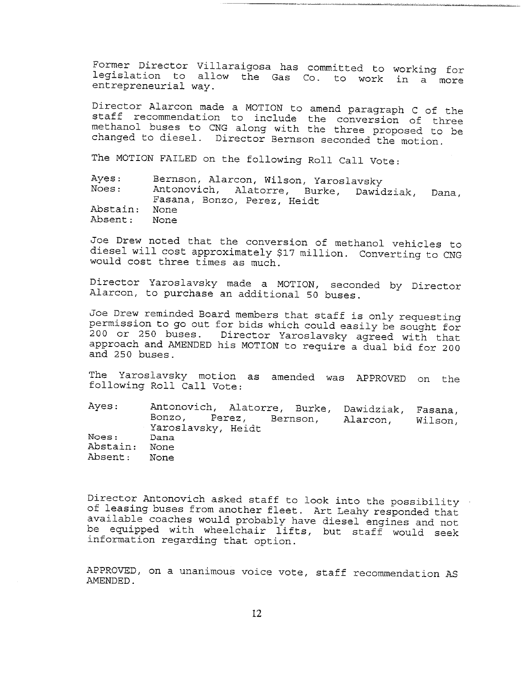Former Director Villaraigosa has committed to working for legislation to allow the Gas Co. to work in a more entrepreneurial way.

Director Alarcon made a MOTION to amend paragraph C of the staff recommendation to include the conversion of three methanol buses to CNG along with the three proposed to be changed to diesel. Director Bernson seconded the motion.

The MOTION FAILED on the following Roll Call Vote:

Ayes: Noes: Abstain: Absent: Bernson, Alarcon, Wilson, Yaroslavsky Antonovich, Alatorre, Burke, Dawidziak, Dana, Fasana, Bonzo, Perez, Heidt None None

Joe Drew noted that the conversion of methanol vehicles to diesel will cost approximately \$17 million. Converting to CNG would cost three times as much.

Director Yaroslavsky made a MOTION, seconded by Director Alarcon, to purchase an additional 50 buses.

Joe Drew reminded Board members that staff is only requesting permission to go out for bids which could easily be sought for 200 or 250 buses. Director Yaroslavsky agreed with that approach and AMENDED his MOTION to require a dual bid for 200 and 250 buses.

The Yaroslavsky motion as amended was APPROVED on the following Roll Call Vote:

Ayes: Antonovich, Alatorre, Burke, Dawidziak, Fasana, Bonzo, Perez, Bernson, Alarcon, Yaroslavsky, Heidt Noes: Dana Abstain: None Absent: None Wilson,

Director Antonovich asked staff to look into the possibility of leasing buses from another fleet. Art Leahy responded that available coaches would probably have diesel engines and not be equipped with wheelchair lifts, but staff would seek information regarding that option.

APPROVED, on a unanimous voice vote, staff recommendation AS AMENDED.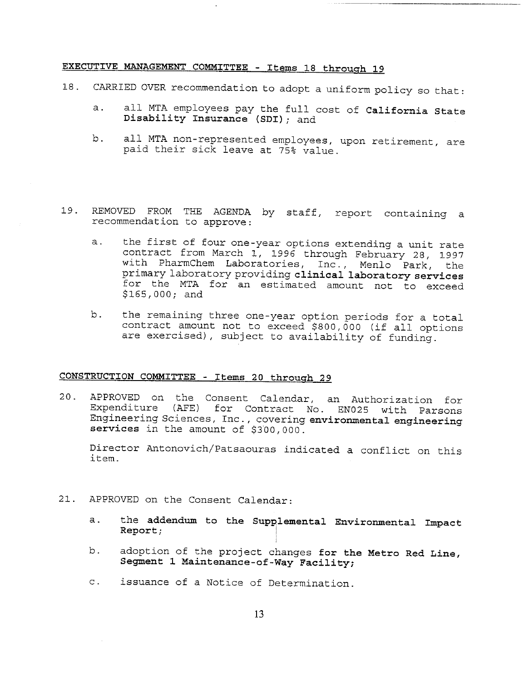# **EXECUTIVE MANAGEMENT COMMITTEE - Items 18 through 19**

- 18. CARRIED OVER recommendation to adopt a uniform policy so that:
	- a. all MTA employees pay the full cost of **California State Disability Insurance** (SDI) ; and
	- b. all MTA non-represented employees, upon retirement, are paid their sick leave at 75% value.
- 19. REMOVED FROM THE AGENDA by staff, report containing a recommendation to approve:
	- the first of four one-year options extending a unit rate  $a.$ contract from March I, 1996 through February 28, 1997 with PharmChem Laboratories, Inc., Menlo Park, the primary laboratory providing **clinical laboratory services** for the MTA for an estimated amount not to exceed \$165,000; and
	- the remaining three one-year option periods for a total b. contract amount not to exceed \$800,000 (if all options are exercised), subject to availability of funding.

# **CONSTRUCTION COMMITTEE - Items** 20 throuqh 29

20. APPROVED on the Consent Calendar, an Authorization for Expenditure (AFE) for Contract No. EN025 with Parso Engineering Sciences, Inc., covering **environmental engineering** services in the amount of \$300,000.

Director Antonovich/Patsaouras indicated a conflict on this item.

- 21. APPROVED on the Consent Calendar:
	- the addendum **to the Supplemental Envirorunental Impact** a. **Report; |**
	- adoption of the project changes **for the Metro Red Line,** b. **Segment i Maintenance-of-Way Facility;**
	- c. issuance of a Notice of Determination.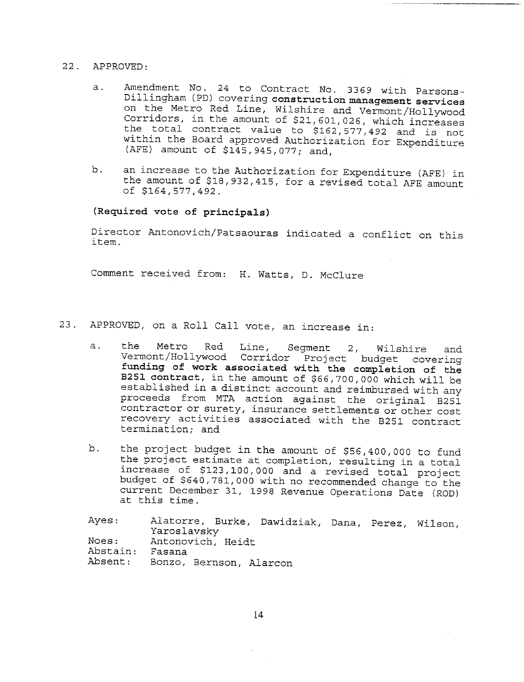### 22. APPROVED:

- a. Amendment No. 24 to Contract No. 3369 with Parsons-Dillingham (PD) covering **construction management services** on the Metro Red Line, Wilshire and Vermont/Hollywood Corridors, in the amount of \$21,601,026, which increases the total contract value to \$162,577,492 and is not within the Board approved Authorization for Expenditure (AFE) amount of \$145,945,077; and,
- an increase to the Authorization for Expenditure (AFE) b. the amount of \$18,932,415, for a revised total AFE amount of \$164,577,492.

## **(Required vote of principals)**

Director Antonovich/Patsaouras indicated a conflict on this item.

Comment received from: H. Watts, D. McClure

- 23. APPROVED, on a Roll Call vote, an increase in:
	- $a.$ the Metro Red Line, Segment 2, Wilshire and. Vermont/Hollywood Corridor Project budget covering **funding** of work **associated with the completion of the** B251 contract, in the amount of \$66,700,000 which will be established in a distinct account and reimbursed with any proceeds from MTA action against the original B251 contractor or surety, insurance settlements or other cost recovery activities associated with the B251 contract termination; and
	- b. the project budget in the amount of \$56,400,000 to fund the project estimate at completion, resulting in a total increase of \$123,100,000 and a revised total project budget of \$640,781,000 with no recommended change to the current December 31, 1998 Revenue Operations Date (ROD) at this time.

Ayes: Noes: Abstain: Fasan Absent: Alatorre, Burke, Dawidziak, Dana, Perez, Wilson, Yaroslavsky Antonovich, Heidt Bonzo, Bernson, Alarcon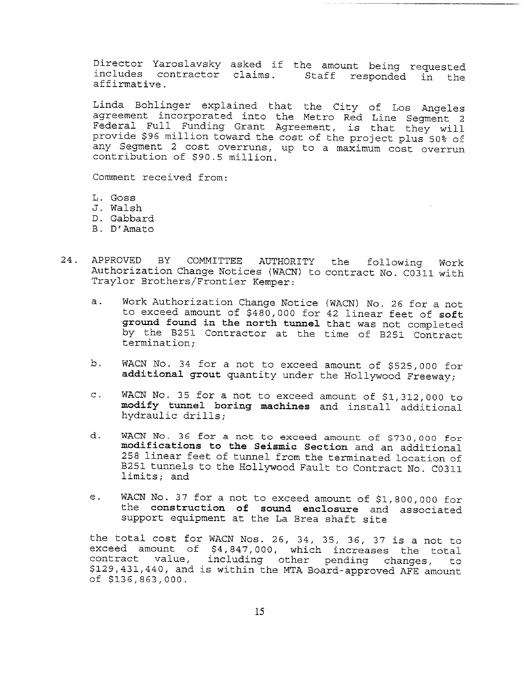Director Yaroslavsky asked if the amount being request includes contractor claims. affirmative. Staff responded in the

Linda Bohlinger explained that the City of Los Angeles agreement incorporated into the Metro Red Line Segment 2 Federal Full Funding Grant Agreement, is that they will provide \$96 million toward the cost of the project plus 50% of any Segment 2 cost overruns, up to a maximum cost overrun contribution of \$90.5 million.

Comment received from:

- L. Goss
- J. Walsh
- D. Gabbard
- B. D'Amato
- 24. APPROVED BY COMMITTEE AUTHORITY the following Work Authorization Change Notices (WACN) to contract No. C0311 with Traylor Brothers/Frontier Kemper:
	- Work Authorization Change Notice (WACN) No. 26 for a not  $\overline{a}$ . to exceed amount of \$480,000 for 42 linear feet of **soft:** ground found in the north tunnel that was not complete by the B251 Contractor at the time of B251 Contract termination;
	- b. WACN No. 34 for a not to exceed amount of \$525,000 for additional grout quantity under the Hollywood Freeway;
	- WACN No. 35 for a not to exceed amount of \$1,312,000 to  $\circ$ . modify tunnel boring machines and install additional hydraulic drills;
	- WACN No. 36 for a not to exceed amount of \$730,000 for d. modifications to the Seismic Section and an additional 258 linear feet of tunnel from the terminated location of B251 tunnels to the Hollywood Fault to Contract No. C0311 limits; and
	- e. WACN No. 37 for a not to exceed amount of \$1,800,000 for the **construction of sound enclosure** and associated. support equipment at the La Brea shaft site

the total cost for WACN Nos. 26, 34, 35, 36, 37 is a not to exceed amount of \$4,847,000, which increases the total contract value, including other pending changes, to \$129,431,440, and is within the MTA Board-approved AFE amount of \$136,863,000.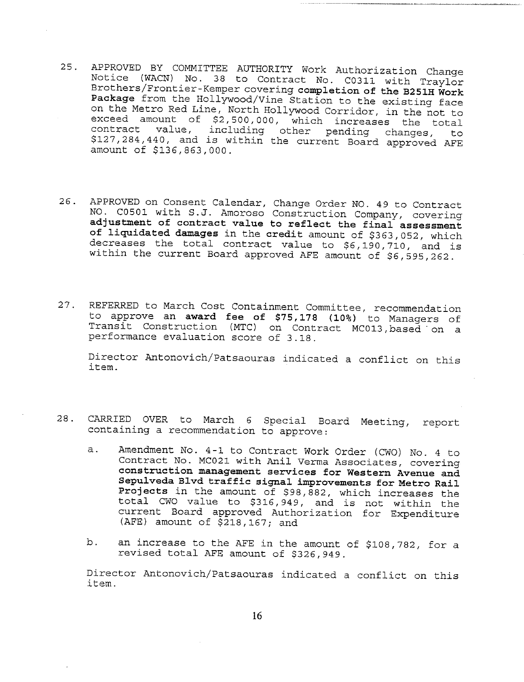- 25. APPROVED BY COMMITTEE AUTHORITY Work Authorization Change Notice (WACN) No. 38 to Contract No. C0311 with Traylor Brothers/Frontier-Kemper covering **completion of the** B251H Work **Package** from the Hollywood/Vine Station to the existing face on the Metro Red Line, North Hollywood Corridor, in the not to exceed amount of \$2,500,000, which increases the total contract value, including other pending changes, to \$127,284,440, and is within the current Board approved AFE amount of \$136,863,000.
- 26. APPROVED on Consent Calendar, Change Order NO. 49 to Contract NO. C0501 with S.J. Amoroso Construction Company, covering **adjustment of contract value to reflect the final assessment of liquidated damages** in the credit amount of \$363,052, which. decreases the total contract value to \$6,190,710, and is within the current Board approved AFE amount of \$6,595,262.
- 27. REFERRED to March Cost Containment Committee, recommendation to approve an **award fee of** \$75,178 (10%) to Managers Transit Construction (MTC) on Contract MC013,based on performance evaluation score of 3.18.

Director Antonovich/Patsaouras indicated a conflict on this item.

- 28. CARRIED OVER to March 6 Special Board Meeting, report containing a recommendation to approve:
	- a. Amendment No. 4-1 to Contract Work Order (CWO) No. 4 to Contract No. MC021 with Anil Verma Associates, covering **construction management services for Western Avenue and Sepulveda Blvd traffic signal improvements for Metro Rail** Projects in the amount of \$98,882, which increases the total CWO value to \$316,949, and is not within the current Board approved Authorization for Expenditure (AFE) amount of \$218,167; and
	- b. an increase to the AFE in the amount of \$108,782, for a revised total AFE amount of \$326,949.

Director Antonovich/Patsaouras indicated a conflict on this item.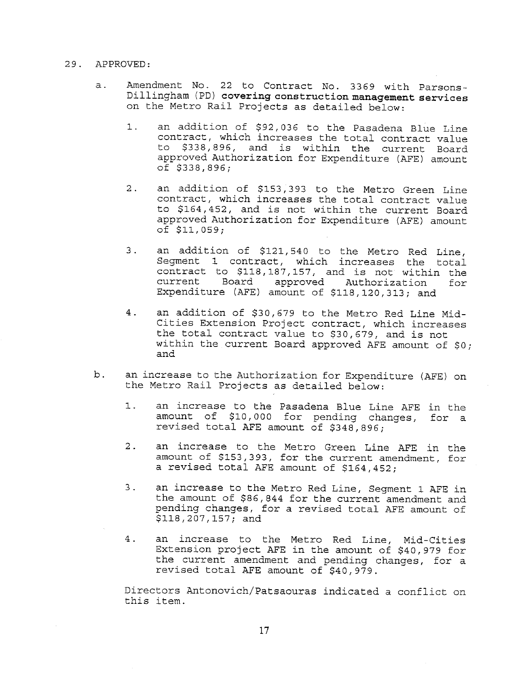#### 29. APPROVED:

- Amendment No. 22 to Contract No. 3369 with Parsons $a.$ Dillingham (PD) **covering construction management services** on the Metro Rail Projects as detailed below:
	- $1.$ an addition of \$92,036 to the Pasadena Blue Line contract, which increases the total contract value to \$338,896, and is within the current Board approved Authorization for Expenditure (AFE) amount of \$338,896;
	- 2. an addition of \$153,393 to the Metro Green Line contract, which increases the total contract value to \$164,452, and is not within the current Board approved Authorization for Expenditure (AFE) amount of \$11,059;
	- $3.$ an addition of \$121,540 to the Metro Red Line, Segment 1 contract, which increases the total contract to \$118,187,157, and is not within the current Board approved Authorization for Expenditure (AFE) amount of \$118,120,313; and
	- an addition of \$30,679 to the Metro Red Line Mid- $4.$ Cities Extension Project contract, which increases the total contract value to \$30,679, and is not within the current Board approved AFE amount of \$0; and
- b. an increase to the Authorization for Expenditure (AFE) on the Metro Rail Projects as detailed below:
	- an increase to the Pasadena Blue Line AFE in the 1. amount of \$I0,000 for pending changes, for a revised total AFE amount of \$348,896;
	- 2. an increase to the Metro Green Line AFE in the amount of \$153,393, for the current amendment, for a revised total AFE amount of \$164,452;
	- 3. an increase to the Metro Red Line, Segment 1 AFE in the amount of \$86,844 for the current amendment and pending changes, for a revised total AFE amount of \$118,207,157; and
	- 4. an increase to the Metro Red Line, Mid-Cities Extension project AFE in the amount of \$40,979 for the current amendment and pending changes, for a revised total AFE amount of \$40,979.

Directors Antonovich/Patsaouras indicated a conflict on this item.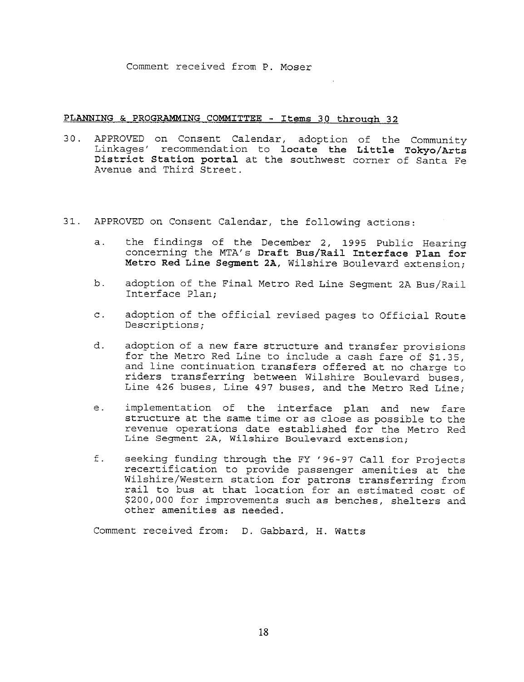Comment received from P. Moser

# **PLANNING & PROGRAMMING COMMITTEE -** Items 30 throuqh 32

- 30. APPROVED on Consent Calendar, adoption of the Community Linkages' recommendation to locate the Little Tokyo/Arts District Station portal at the southwest corner of Santa Fe Avenue and Third Street.
- 31. APPROVED on Consent Calendar, the following actions:
	- a. the findings of the December 2, 1995 Public Hearing concerning the MTA's Draft Bus/Rail Interface Plan for Metro Red Line Segment 2A, Wilshire Boulevard extension;
	- b. adoption of the Final Metro Red Line Segment 2A Bus/Rail Interface Plan;
	- C° adoption of the official revised pages to Official Route Descriptions;
	- d. adoption of a new fare structure and transfer provisions for the Metro Red Line to include a cash fare of \$1.35, and line continuation transfers offered at no charge to riders transferring between Wilshire Boulevard buses, Line 426 buses, Line 497 buses, and the Metro Red Line;
	- e. implementation of the interface plan and new fare structure at the same time or as close as possible to the revenue operations date established for the Metro Red Line Segment 2A, Wilshire Boulevard extension;
	- seeking funding through the FY '96-97 Call for Projects f. recertification to provide passenger amenities at the Wilshire/Western station for patrons transferring from rail to bus at that location for an estimated cost of \$200,000 for improvements such as benches, shelters and other amenities as needed.

Comment received from: D. Gabbard, H. Watts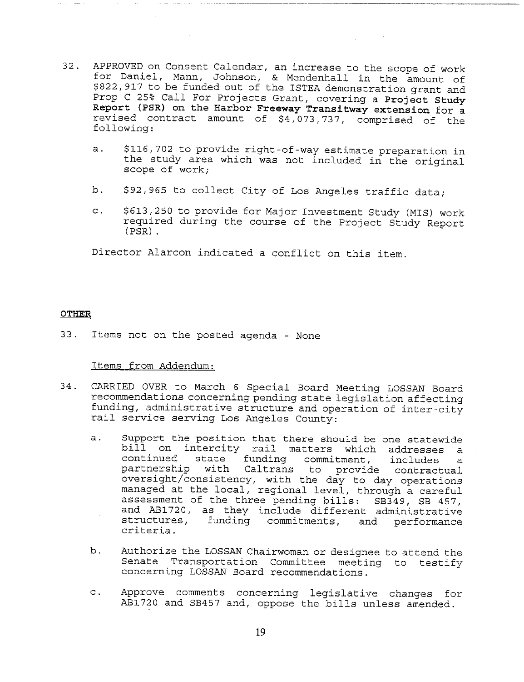- 32. APPROVED on Consent Calendar, an increase to the scope of work for Daniel, Mann, Johnson, & Mendenhall in the amount of \$822,917 to be funded out of the ISTEA demonstration grant and Prop C 25% Call For Projects Grant, covering a Project Study Report (PSR) on the Harbor Freeway Transitway extension for a revised contract amount of \$4,073,737, comprised of the following:
	- a. \$116,702 to provide right-of-way estimate preparation in the study area which was not included in the original scope of work;
	- b. \$92,965 to collect City of Los Angeles traffic data;
	- $\mathsf{C}$ . \$613,250 to provide for Major Investment Study (MIS) work required during the course of the Project Study Report (PSR)

Director Alarcon indicated a conflict on this item.

#### **OTHER**

33. Items not on the posted agenda - None

#### Items from Addendum:

- 34. CARRIED OVER to March 6 Special Board Meeting LOSSAN Board recommendations concerning pending state legislation affecting funding, administrative structure and operation of inter-city rail service serving Los Angeles County:
	- a. Support the position that there should be one statewide bill on intercity rail matters which addresses a<br>continued state funding commitment, includes a continued state funding commitment, includes a<br>partnership with Caltrans to provide contractual Caltrans to provide contractual oversight/consistency, with the day to day operations managed at the local, regional level, through a careful assessment of the three pending bills: SB349, SB 457, and ABI720, as they include different administrative structures, funding commitments, and performance criteria.
	- b. Authorize the LOSSAN Chairwoman or designee to attend the Senate Transportation Committee meeting to testify concerning LOSSAN Board recommendations.
	- c. Approve comments concerning legislative changes for ABI720 and SB457 and, oppose the bills unless amended.